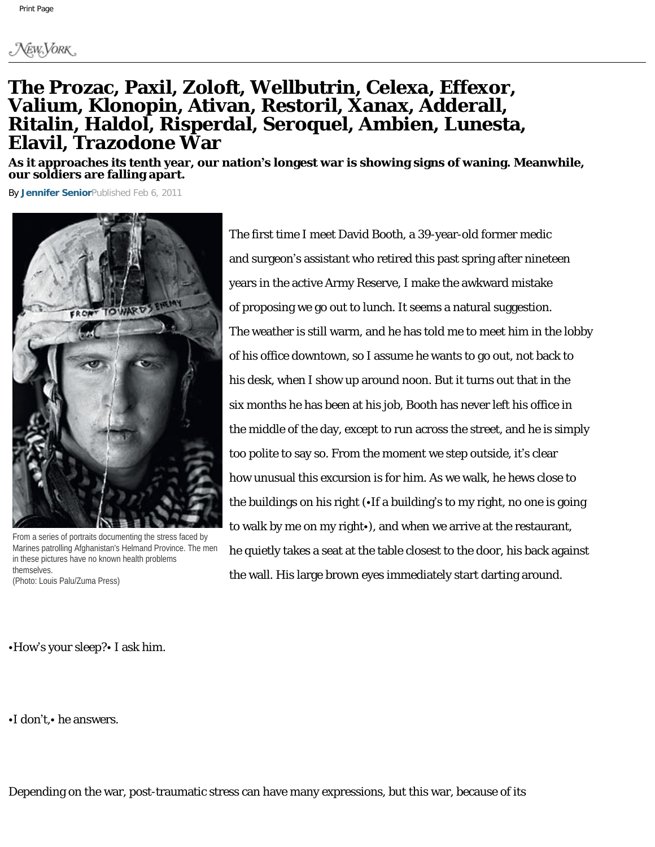## **The Prozac, Paxil, Zoloft, Wellbutrin, Celexa, Effexor, Valium, Klonopin, Ativan, Restoril, Xanax, Adderall, Ritalin, Haldol, Risperdal, Seroquel, Ambien, Lunesta, Elavil, Trazodone War**

**As it approaches its tenth year, our nation's longest war is showing signs of waning. Meanwhile, our soldiers are falling apart.**

By **[Jennifer Senior](http://nymag.com/nymag/author_78)**Published Feb 6, 2011



From a series of portraits documenting the stress faced by Marines patrolling Afghanistan's Helmand Province. The men in these pictures have no known health problems themselves.

(Photo: Louis Palu/Zuma Press)

The first time I meet David Booth, a 39-year-old former medic and surgeon's assistant who retired this past spring after nineteen years in the active Army Reserve, I make the awkward mistake of proposing we go out to lunch. It seems a natural suggestion. The weather is still warm, and he has told me to meet him in the lobby of his office downtown, so I assume he wants to go out, not back to his desk, when I show up around noon. But it turns out that in the six months he has been at his job, Booth has never left his office in the middle of the day, except to run across the street, and he is simply too polite to say so. From the moment we step outside, it's clear how unusual this excursion is for him. As we walk, he hews close to the buildings on his right (•If a building's to my right, no one is going to walk by me on my right•), and when we arrive at the restaurant, he quietly takes a seat at the table closest to the door, his back against the wall. His large brown eyes immediately start darting around.

•How's your sleep?• I ask him.

•I don't,• he answers.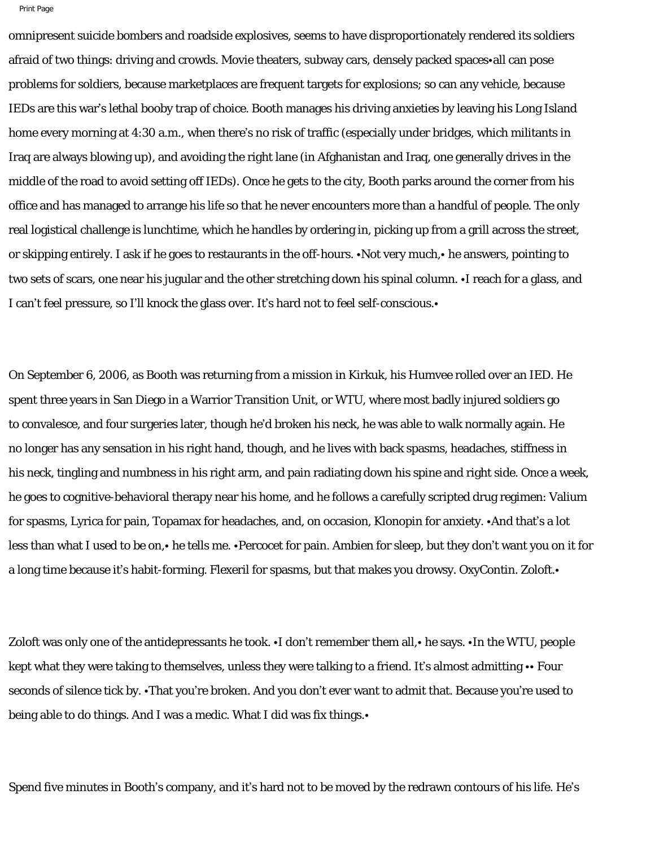omnipresent suicide bombers and roadside explosives, seems to have disproportionately rendered its soldiers afraid of two things: driving and crowds. Movie theaters, subway cars, densely packed spaces•all can pose problems for soldiers, because marketplaces are frequent targets for explosions; so can any vehicle, because IEDs are this war's lethal booby trap of choice. Booth manages his driving anxieties by leaving his Long Island home every morning at 4:30 a.m., when there's no risk of traffic (especially under bridges, which militants in Iraq are always blowing up), and avoiding the right lane (in Afghanistan and Iraq, one generally drives in the middle of the road to avoid setting off IEDs). Once he gets to the city, Booth parks around the corner from his office and has managed to arrange his life so that he never encounters more than a handful of people. The only real logistical challenge is lunchtime, which he handles by ordering in, picking up from a grill across the street, or skipping entirely. I ask if he goes to restaurants in the off-hours. •Not very much,• he answers, pointing to two sets of scars, one near his jugular and the other stretching down his spinal column. •I reach for a glass, and I can't feel pressure, so I'll knock the glass over. It's hard not to feel self-conscious.•

On September 6, 2006, as Booth was returning from a mission in Kirkuk, his Humvee rolled over an IED. He spent three years in San Diego in a Warrior Transition Unit, or WTU, where most badly injured soldiers go to convalesce, and four surgeries later, though he'd broken his neck, he was able to walk normally again. He no longer has any sensation in his right hand, though, and he lives with back spasms, headaches, stiffness in his neck, tingling and numbness in his right arm, and pain radiating down his spine and right side. Once a week, he goes to cognitive-behavioral therapy near his home, and he follows a carefully scripted drug regimen: Valium for spasms, Lyrica for pain, Topamax for headaches, and, on occasion, Klonopin for anxiety. •And that's a lot less than what I used to be on,• he tells me. •Percocet for pain. Ambien for sleep, but they don't want you on it for a long time because it's habit-forming. Flexeril for spasms, but that makes you drowsy. OxyContin. Zoloft.•

Zoloft was only one of the antidepressants he took. •I don't remember them all, • he says. •In the WTU, people kept what they were taking to themselves, unless they were talking to a friend. It's almost admitting  $\cdot\cdot$  Four seconds of silence tick by. •That you're broken. And you don't ever want to admit that. Because you're used to being able to do things. And I was a medic. What I did was fix things.•

Spend five minutes in Booth's company, and it's hard not to be moved by the redrawn contours of his life. He's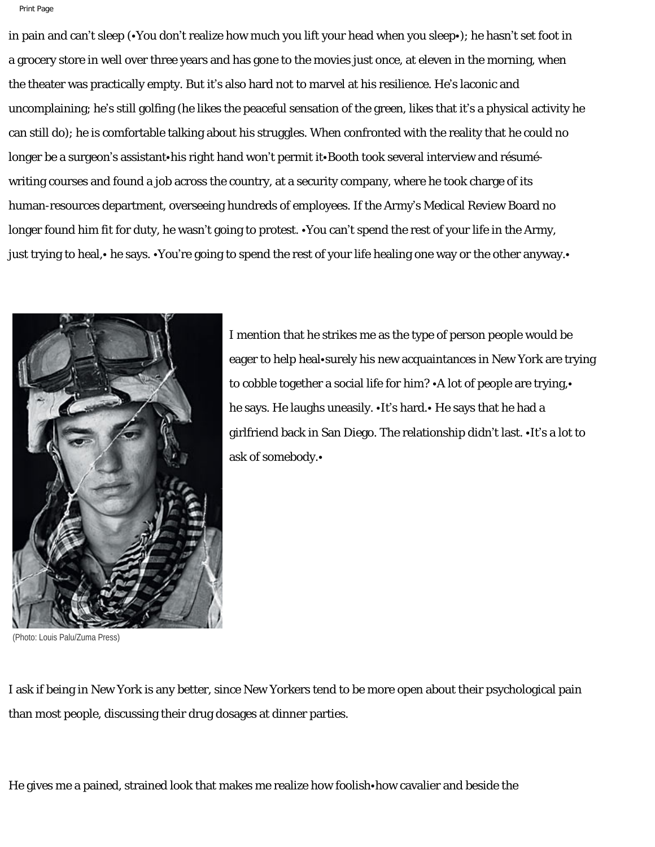in pain and can't sleep (•You don't realize how much you lift your head when you sleep•); he hasn't set foot in a grocery store in well over three years and has gone to the movies just once, at eleven in the morning, when the theater was practically empty. But it's also hard not to marvel at his resilience. He's laconic and uncomplaining; he's still golfing (he likes the peaceful sensation of the green, likes that it's a physical activity he can still do); he is comfortable talking about his struggles. When confronted with the reality that he could no longer be a surgeon's assistant•his right hand won't permit it•Booth took several interview and résuméwriting courses and found a job across the country, at a security company, where he took charge of its human-resources department, overseeing hundreds of employees. If the Army's Medical Review Board no longer found him fit for duty, he wasn't going to protest. •You can't spend the rest of your life in the Army, just trying to heal,• he says. •You're going to spend the rest of your life healing one way or the other anyway.•



(Photo: Louis Palu/Zuma Press)

I mention that he strikes me as the type of person people would be eager to help heal•surely his new acquaintances in New York are trying to cobble together a social life for him? •A lot of people are trying,• he says. He laughs uneasily. •It's hard.• He says that he had a girlfriend back in San Diego. The relationship didn't last. •It's a lot to ask of somebody.•

I ask if being in New York is any better, since New Yorkers tend to be more open about their psychological pain than most people, discussing their drug dosages at dinner parties.

He gives me a pained, strained look that makes me realize how foolish•how cavalier and beside the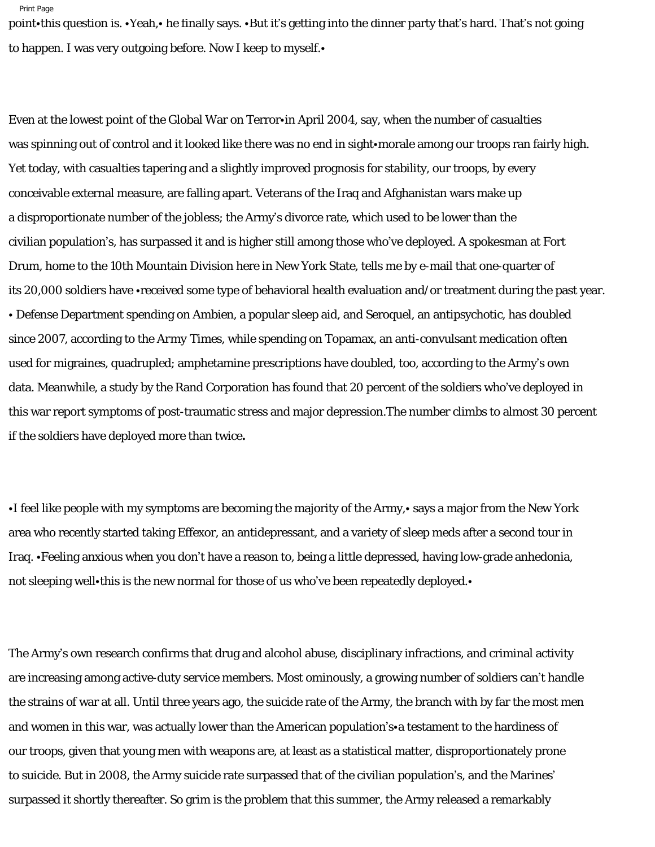point•this question is. •Yeah,• he finally says. •But it's getting into the dinner party that's hard. That's not going to happen. I was very outgoing before. Now I keep to myself.•

Even at the lowest point of the Global War on Terror•in April 2004, say, when the number of casualties was spinning out of control and it looked like there was no end in sight•morale among our troops ran fairly high. Yet today, with casualties tapering and a slightly improved prognosis for stability, our troops, by every conceivable external measure, are falling apart. Veterans of the Iraq and Afghanistan wars make up a disproportionate number of the jobless; the Army's divorce rate, which used to be lower than the civilian population's, has surpassed it and is higher still among those who've deployed. A spokesman at Fort Drum, home to the 10th Mountain Division here in New York State, tells me by e-mail that one-quarter of its 20,000 soldiers have •received some type of behavioral health evaluation and/or treatment during the past year. • Defense Department spending on Ambien, a popular sleep aid, and Seroquel, an antipsychotic, has doubled since 2007, according to the *Army Times*, while spending on Topamax, an anti-convulsant medication often used for migraines, quadrupled; amphetamine prescriptions have doubled, too, according to the Army's own data. Meanwhile, a study by the Rand Corporation has found that 20 percent of the soldiers who've deployed in this war report symptoms of post-traumatic stress and major depression.The number climbs to almost 30 percent if the soldiers have deployed more than twice**.**

•I feel like people with my symptoms are becoming the majority of the Army,• says a major from the New York area who recently started taking Effexor, an antidepressant, and a variety of sleep meds after a second tour in Iraq. •Feeling anxious when you don't have a reason to, being a little depressed, having low-grade anhedonia, not sleeping well•this is the new normal for those of us who've been repeatedly deployed.•

The Army's own research confirms that drug and alcohol abuse, disciplinary infractions, and criminal activity are increasing among active-duty service members. Most ominously, a growing number of soldiers can't handle the strains of war at all. Until three years ago, the suicide rate of the Army, the branch with by far the most men and women in this war, was actually lower than the American population's•a testament to the hardiness of our troops, given that young men with weapons are, at least as a statistical matter, disproportionately prone to suicide. But in 2008, the Army suicide rate surpassed that of the civilian population's, and the Marines' surpassed it shortly thereafter. So grim is the problem that this summer, the Army released a remarkably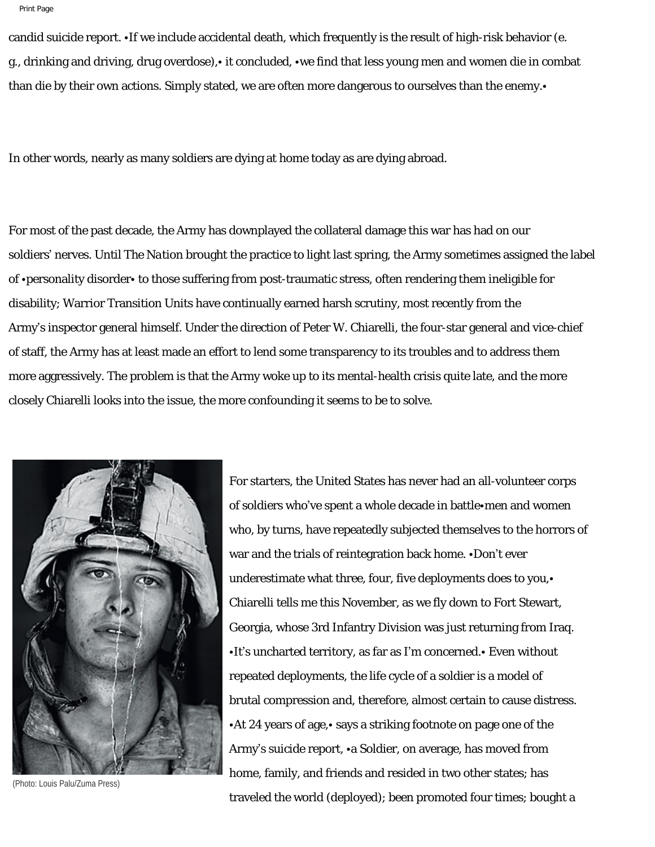candid suicide report. •If we include accidental death, which frequently is the result of high-risk behavior (e. g., drinking and driving, drug overdose),• it concluded, •we find that less young men and women die in combat than die by their own actions. Simply stated, we are often more dangerous to ourselves than the enemy.

In other words, nearly as many soldiers are dying at home today as are dying abroad.

For most of the past decade, the Army has downplayed the collateral damage this war has had on our soldiers' nerves. Until *The Nation* brought the practice to light last spring, the Army sometimes assigned the label of •personality disorder• to those suffering from post-traumatic stress, often rendering them ineligible for disability; Warrior Transition Units have continually earned harsh scrutiny, most recently from the Army's inspector general himself. Under the direction of Peter W. Chiarelli, the four-star general and vice-chief of staff, the Army has at least made an effort to lend some transparency to its troubles and to address them more aggressively. The problem is that the Army woke up to its mental-health crisis quite late, and the more closely Chiarelli looks into the issue, the more confounding it seems to be to solve.



who, by turns, have repeatedly subjected themselves to the horrors of war and the trials of reintegration back home. •Don't ever underestimate what three, four, five deployments does to you,• Chiarelli tells me this November, as we fly down to Fort Stewart, Georgia, whose 3rd Infantry Division was just returning from Iraq. •It's uncharted territory, as far as I'm concerned.• Even without repeated deployments, the life cycle of a soldier is a model of brutal compression and, therefore, almost certain to cause distress. •At 24 years of age,• says a striking footnote on page one of the Army's suicide report, •a Soldier, on average, has moved from home, family, and friends and resided in two other states; has traveled the world (deployed); been promoted four times; bought a

For starters, the United States has never had an all-volunteer corps

of soldiers who've spent a whole decade in battle•men and women

(Photo: Louis Palu/Zuma Press)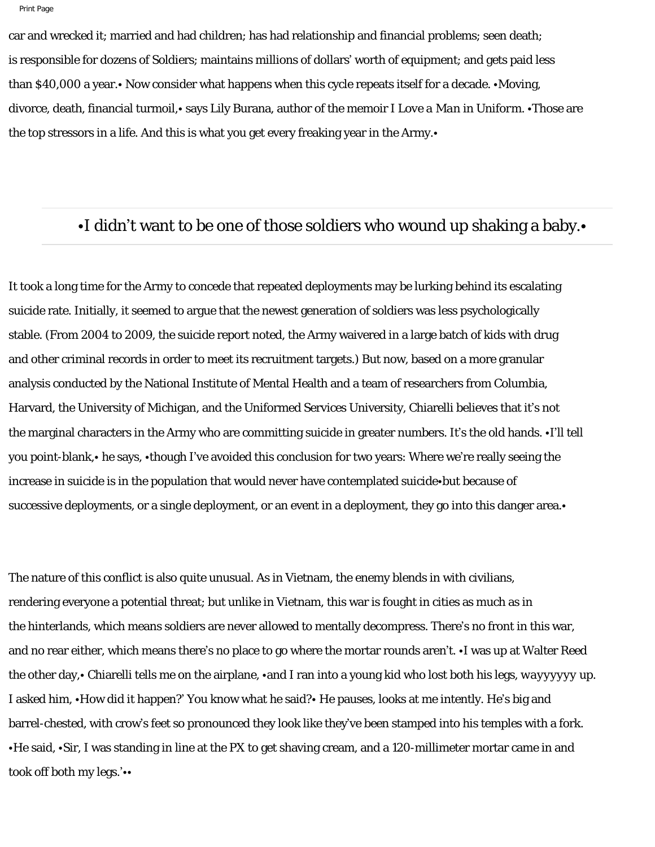```
Print Page
```
car and wrecked it; married and had children; has had relationship and financial problems; seen death; is responsible for dozens of Soldiers; maintains millions of dollars' worth of equipment; and gets paid less than \$40,000 a year.• Now consider what happens when this cycle repeats itself for a decade. •Moving, divorce, death, financial turmoil,• says Lily Burana, author of the memoir *I Love a Man in Uniform.* •Those are the top stressors in a life. And this is what you get every freaking year in the Army.•

## •I didn't want to be one of those soldiers who wound up shaking a baby.

It took a long time for the Army to concede that repeated deployments may be lurking behind its escalating suicide rate. Initially, it seemed to argue that the newest generation of soldiers was less psychologically stable. (From 2004 to 2009, the suicide report noted, the Army waivered in a large batch of kids with drug and other criminal records in order to meet its recruitment targets.) But now, based on a more granular analysis conducted by the National Institute of Mental Health and a team of researchers from Columbia, Harvard, the University of Michigan, and the Uniformed Services University, Chiarelli believes that it's not the marginal characters in the Army who are committing suicide in greater numbers. It's the old hands. •I'll tell you point-blank,• he says, •though I've avoided this conclusion for two years: Where we're really seeing the increase in suicide is in the population that would never have contemplated suicide•but because of successive deployments, or a single deployment, or an event in a deployment, they go into this danger area.•

The nature of this conflict is also quite unusual. As in Vietnam, the enemy blends in with civilians, rendering everyone a potential threat; but unlike in Vietnam, this war is fought in cities as much as in the hinterlands, which means soldiers are never allowed to mentally decompress. There's no front in this war, and no rear either, which means there's no place to go where the mortar rounds aren't. •I was up at Walter Reed the other day,• Chiarelli tells me on the airplane, •and I ran into a young kid who lost both his legs, *wayyyyyy* up. I asked him, •How did it happen?' You know what he said?• He pauses, looks at me intently. He's big and barrel-chested, with crow's feet so pronounced they look like they've been stamped into his temples with a fork. •He said, •Sir, I was standing in line at the PX to get shaving cream, and a 120-millimeter mortar came in and took off both my legs.'••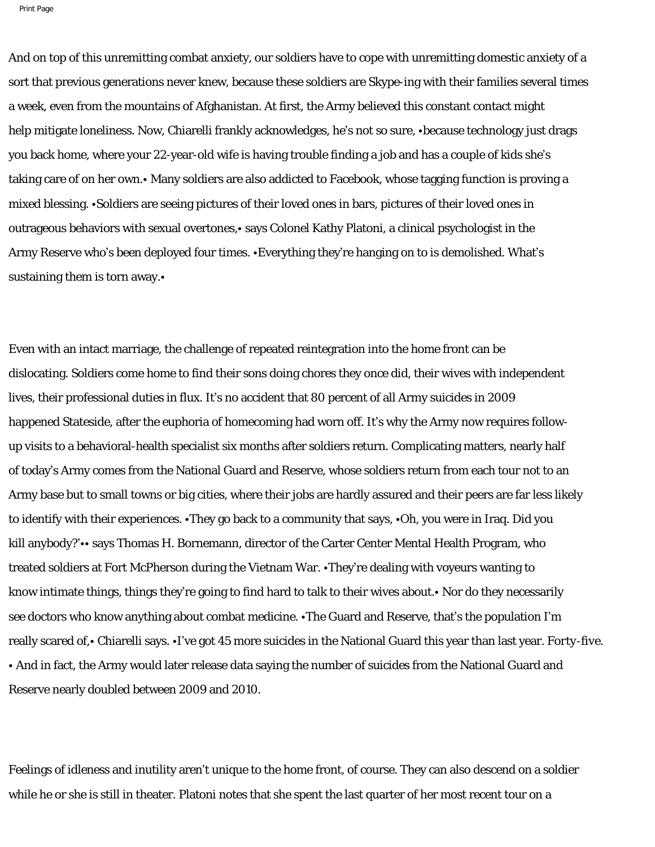And on top of this unremitting combat anxiety, our soldiers have to cope with unremitting domestic anxiety of a sort that previous generations never knew, because these soldiers are Skype-ing with their families several times a week, even from the mountains of Afghanistan. At first, the Army believed this constant contact might help mitigate loneliness. Now, Chiarelli frankly acknowledges, he's not so sure, •because technology just drags you back home, where your 22-year-old wife is having trouble finding a job and has a couple of kids she's taking care of on her own.• Many soldiers are also addicted to Facebook, whose tagging function is proving a mixed blessing. •Soldiers are seeing pictures of their loved ones in bars, pictures of their loved ones in outrageous behaviors with sexual overtones,• says Colonel Kathy Platoni, a clinical psychologist in the Army Reserve who's been deployed four times. •Everything they're hanging on to is demolished. What's sustaining them is torn away.•

Even with an intact marriage, the challenge of repeated reintegration into the home front can be dislocating. Soldiers come home to find their sons doing chores they once did, their wives with independent lives, their professional duties in flux. It's no accident that 80 percent of all Army suicides in 2009 happened Stateside, after the euphoria of homecoming had worn off. It's why the Army now requires followup visits to a behavioral-health specialist six months after soldiers return. Complicating matters, nearly half of today's Army comes from the National Guard and Reserve, whose soldiers return from each tour not to an Army base but to small towns or big cities, where their jobs are hardly assured and their peers are far less likely to identify with their experiences. •They go back to a community that says, •Oh, you were in Iraq. Did you kill anybody?'•• says Thomas H. Bornemann, director of the Carter Center Mental Health Program, who treated soldiers at Fort McPherson during the Vietnam War. •They're dealing with voyeurs wanting to know intimate things, things they're going to find hard to talk to their wives about.• Nor do they necessarily see doctors who know anything about combat medicine. •The Guard and Reserve, that's the population I'm really scared of,• Chiarelli says. •I've got 45 more suicides in the National Guard this year than last year. *Forty-five.* • And in fact, the Army would later release data saying the number of suicides from the National Guard and Reserve nearly doubled between 2009 and 2010.

Feelings of idleness and inutility aren't unique to the home front, of course. They can also descend on a soldier while he or she is still in theater. Platoni notes that she spent the last quarter of her most recent tour on a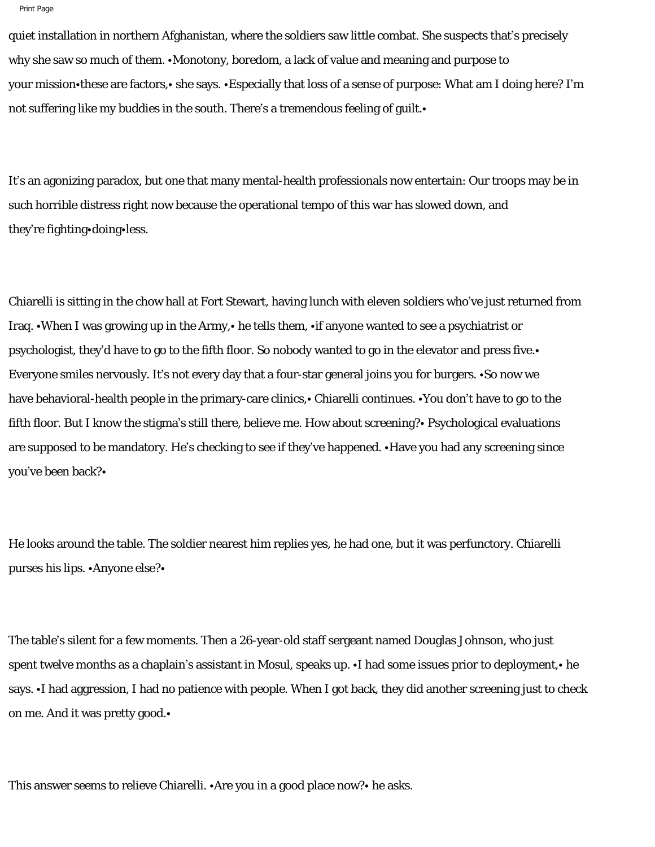```
Print Page
```
quiet installation in northern Afghanistan, where the soldiers saw little combat. She suspects that's precisely why she saw so much of them. •Monotony, boredom, a lack of value and meaning and purpose to your mission•these are factors,• she says. •Especially that loss of a sense of purpose: What am I doing here? I'm not suffering like my buddies in the south. There's a tremendous feeling of guilt.

It's an agonizing paradox, but one that many mental-health professionals now entertain: Our troops may be in such horrible distress right now because the operational tempo of this war has slowed down, and they're fighting•doing•less.

Chiarelli is sitting in the chow hall at Fort Stewart, having lunch with eleven soldiers who've just returned from Iraq. •When I was growing up in the Army,• he tells them, •if anyone wanted to see a psychiatrist or psychologist, they'd have to go to the fifth floor. So nobody wanted to go in the elevator and press five.• Everyone smiles nervously. It's not every day that a four-star general joins you for burgers. •So now we have behavioral-health people in the primary-care clinics,• Chiarelli continues. •You don't have to go to the fifth floor. But I know the stigma's still there, believe me. How about screening?• Psychological evaluations are supposed to be mandatory. He's checking to see if they've happened. •Have you had any screening since you've been back?•

He looks around the table. The soldier nearest him replies yes, he had one, but it was perfunctory. Chiarelli purses his lips. •Anyone else?•

The table's silent for a few moments. Then a 26-year-old staff sergeant named Douglas Johnson, who just spent twelve months as a chaplain's assistant in Mosul, speaks up. •I had some issues prior to deployment, • he says. •I had aggression, I had no patience with people. When I got back, they did another screening just to check on me. And it was pretty good.•

This answer seems to relieve Chiarelli. •Are you in a good place now?• he asks.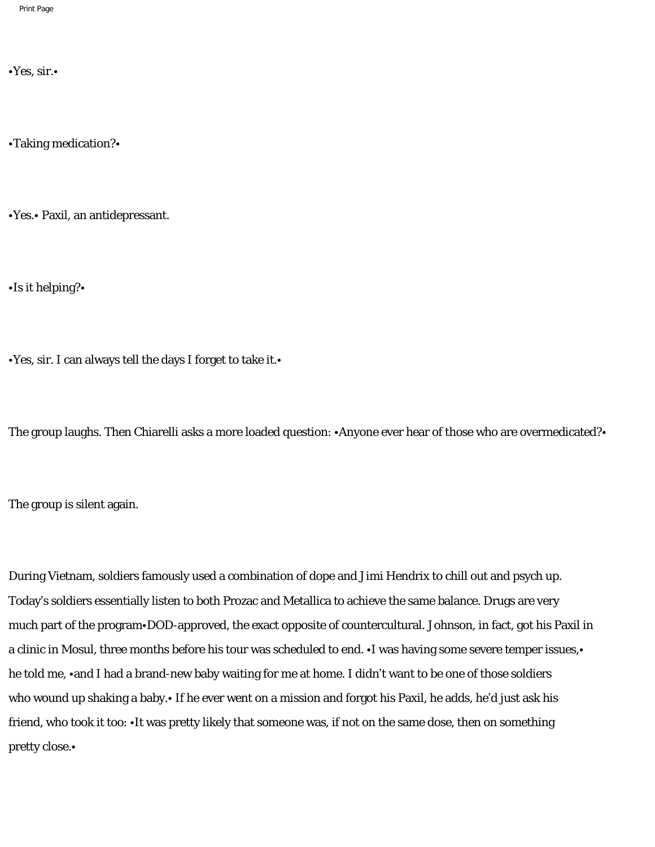•Yes, sir.•

•Taking medication?•

•Yes.• Paxil, an antidepressant.

•Is it helping?•

•Yes, sir. I can always tell the days I forget to take it.•

The group laughs. Then Chiarelli asks a more loaded question: •Anyone ever hear of those who are overmedicated?•

The group is silent again.

During Vietnam, soldiers famously used a combination of dope and Jimi Hendrix to chill out and psych up. Today's soldiers essentially listen to both Prozac and Metallica to achieve the same balance. Drugs are very much part of the program•DOD-approved, the exact opposite of countercultural. Johnson, in fact, got his Paxil in a clinic in Mosul, three months before his tour was scheduled to end. •I was having some severe temper issues,• he told me, •and I had a brand-new baby waiting for me at home. I didn't want to be one of those soldiers who wound up shaking a baby.• If he ever went on a mission and forgot his Paxil, he adds, he'd just ask his friend, who took it too: •It was pretty likely that someone was, if not on the same dose, then on something pretty close.•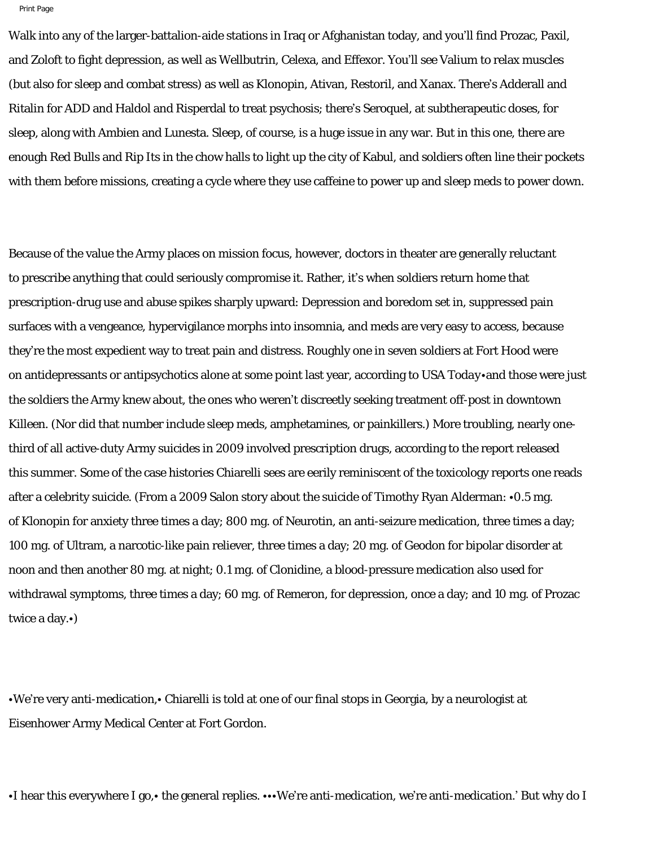Walk into any of the larger-battalion-aide stations in Iraq or Afghanistan today, and you'll find Prozac, Paxil, and Zoloft to fight depression, as well as Wellbutrin, Celexa, and Effexor. You'll see Valium to relax muscles (but also for sleep and combat stress) as well as Klonopin, Ativan, Restoril, and Xanax. There's Adderall and Ritalin for ADD and Haldol and Risperdal to treat psychosis; there's Seroquel, at subtherapeutic doses, for sleep, along with Ambien and Lunesta. Sleep, of course, is a huge issue in any war. But in this one, there are enough Red Bulls and Rip Its in the chow halls to light up the city of Kabul, and soldiers often line their pockets with them before missions, creating a cycle where they use caffeine to power up and sleep meds to power down.

Because of the value the Army places on mission focus, however, doctors in theater are generally reluctant to prescribe anything that could seriously compromise it. Rather, it's when soldiers return home that prescription-drug use and abuse spikes sharply upward: Depression and boredom set in, suppressed pain surfaces with a vengeance, hypervigilance morphs into insomnia, and meds are very easy to access, because they're the most expedient way to treat pain and distress. Roughly one in seven soldiers at Fort Hood were on antidepressants or antipsychotics alone at some point last year, according to *USA Today*•and those were just the soldiers the Army knew about, the ones who weren't discreetly seeking treatment off-post in downtown Killeen. (Nor did that number include sleep meds, amphetamines, or painkillers.) More troubling, nearly onethird of all active-duty Army suicides in 2009 involved prescription drugs, according to the report released this summer. Some of the case histories Chiarelli sees are eerily reminiscent of the toxicology reports one reads after a celebrity suicide. (From a 2009 Salon story about the suicide of Timothy Ryan Alderman: •0.5 mg. of Klonopin for anxiety three times a day; 800 mg. of Neurotin, an anti-seizure medication, three times a day; 100 mg. of Ultram, a narcotic-like pain reliever, three times a day; 20 mg. of Geodon for bipolar disorder at noon and then another 80 mg. at night; 0.1 mg. of Clonidine, a blood-pressure medication also used for withdrawal symptoms, three times a day; 60 mg. of Remeron, for depression, once a day; and 10 mg. of Prozac twice a day.•)

•We're very anti-medication,• Chiarelli is told at one of our final stops in Georgia, by a neurologist at Eisenhower Army Medical Center at Fort Gordon.

•I hear this everywhere I go,• the general replies. •••We're anti-medication, we're anti-medication.' But why do I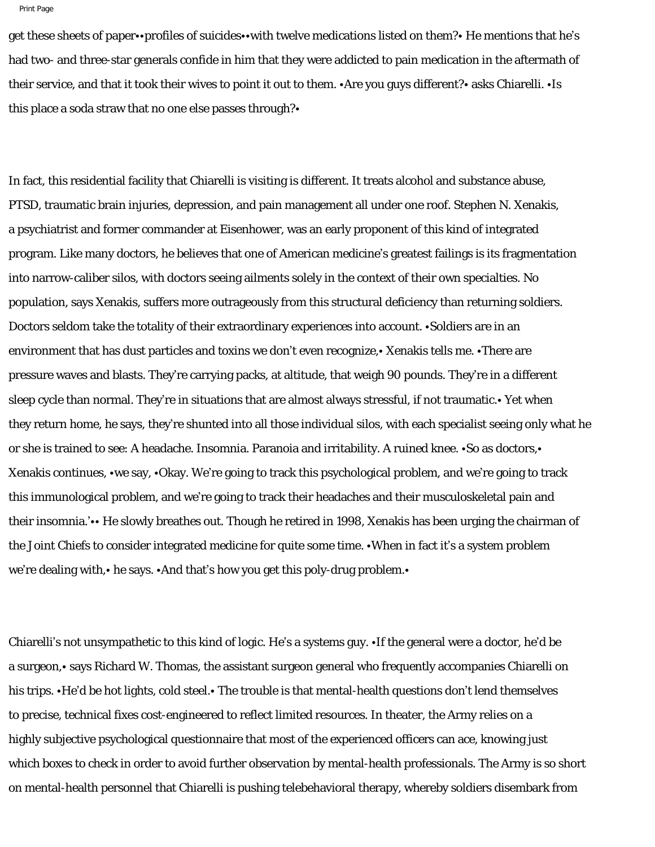```
Print Page
```
get these sheets of paper••profiles of suicides••with twelve medications listed on them?• He mentions that he's had two- and three-star generals confide in him that they were addicted to pain medication in the aftermath of their service, and that it took their wives to point it out to them. •Are you guys different?• asks Chiarelli. •Is this place a soda straw that no one else passes through?•

In fact, this residential facility that Chiarelli is visiting is different. It treats alcohol and substance abuse, PTSD, traumatic brain injuries, depression, and pain management all under one roof. Stephen N. Xenakis, a psychiatrist and former commander at Eisenhower, was an early proponent of this kind of integrated program. Like many doctors, he believes that one of American medicine's greatest failings is its fragmentation into narrow-caliber silos, with doctors seeing ailments solely in the context of their own specialties. No population, says Xenakis, suffers more outrageously from this structural deficiency than returning soldiers. Doctors seldom take the totality of their extraordinary experiences into account. •Soldiers are in an environment that has dust particles and toxins we don't even recognize,• Xenakis tells me. •There are pressure waves and blasts. They're carrying packs, at altitude, that weigh 90 pounds. They're in a different sleep cycle than normal. They're in situations that are almost always stressful, if not traumatic.• Yet when they return home, he says, they're shunted into all those individual silos, with each specialist seeing only what he or she is trained to see: A headache. Insomnia. Paranoia and irritability. A ruined knee. •So as doctors,• Xenakis continues, •we say, •Okay. We're going to track this psychological problem, and we're going to track this immunological problem, and we're going to track their headaches and their musculoskeletal pain and their insomnia.'•• He slowly breathes out. Though he retired in 1998, Xenakis has been urging the chairman of the Joint Chiefs to consider integrated medicine for quite some time. •When in fact it's a system problem we're dealing with,• he says. •And that's how you get this poly-drug problem.•

Chiarelli's not unsympathetic to this kind of logic. He's a systems guy. •If the general were a doctor, he'd be a surgeon,• says Richard W. Thomas, the assistant surgeon general who frequently accompanies Chiarelli on his trips. •He'd be hot lights, cold steel.• The trouble is that mental-health questions don't lend themselves to precise, technical fixes cost-engineered to reflect limited resources. In theater, the Army relies on a highly subjective psychological questionnaire that most of the experienced officers can ace, knowing just which boxes to check in order to avoid further observation by mental-health professionals. The Army is so short on mental-health personnel that Chiarelli is pushing telebehavioral therapy, whereby soldiers disembark from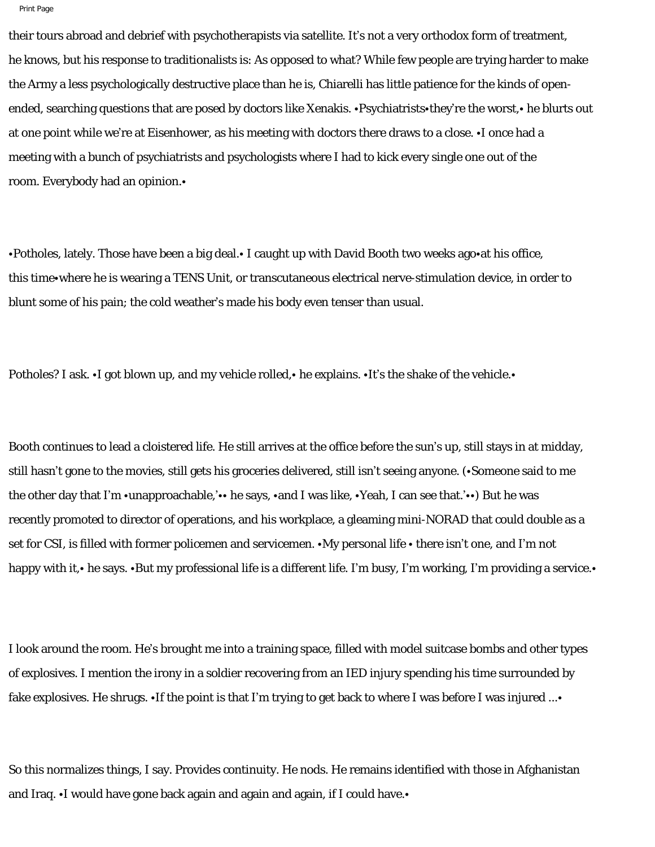their tours abroad and debrief with psychotherapists via satellite. It's not a very orthodox form of treatment, he knows, but his response to traditionalists is: As opposed to what? While few people are trying harder to make the Army a less psychologically destructive place than he is, Chiarelli has little patience for the kinds of openended, searching questions that are posed by doctors like Xenakis. •Psychiatrists•they're the worst,• he blurts out at one point while we're at Eisenhower, as his meeting with doctors there draws to a close. •I once had a meeting with a bunch of psychiatrists and psychologists where I had to kick every single one out of the room. Everybody had an opinion.•

•Potholes, lately. Those have been a big deal.• I caught up with David Booth two weeks ago•at his office, this time•where he is wearing a TENS Unit, or transcutaneous electrical nerve-stimulation device, in order to blunt some of his pain; the cold weather's made his body even tenser than usual.

Potholes? I ask. •I got blown up, and my vehicle rolled, • he explains. •It's the shake of the vehicle. •

Booth continues to lead a cloistered life. He still arrives at the office before the sun's up, still stays in at midday, still hasn't gone to the movies, still gets his groceries delivered, still isn't seeing anyone. (•Someone said to me the other day that I'm •unapproachable,'•• he says, •and I was like, •Yeah, I can see that.'••) But he was recently promoted to director of operations, and his workplace, a gleaming mini-NORAD that could double as a set for *CSI,* is filled with former policemen and servicemen. •My personal life • there isn't one, and I'm not happy with it,• he says. •But my professional life is a different life. I'm busy, I'm working, I'm providing a service.•

I look around the room. He's brought me into a training space, filled with model suitcase bombs and other types of explosives. I mention the irony in a soldier recovering from an IED injury spending his time surrounded by fake explosives. He shrugs. •If the point is that I'm trying to get back to where I was before I was injured ...•

So this normalizes things, I say. Provides continuity. He nods. He remains identified with those in Afghanistan and Iraq. •I would have gone back again and again and again, if I could have.•